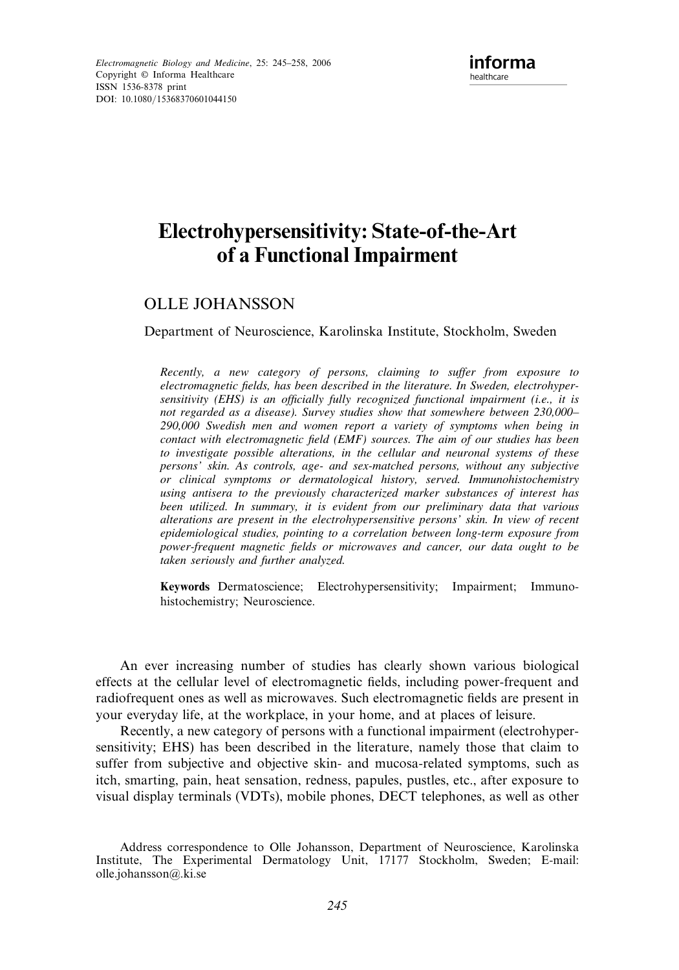## Electrohypersensitivity: State-of-the-Art of a Functional Impairment

## OLLE JOHANSSON

Department of Neuroscience, Karolinska Institute, Stockholm, Sweden

Recently, a new category of persons, claiming to suffer from exposure to electromagnetic fields, has been described in the literature. In Sweden, electrohypersensitivity (EHS) is an officially fully recognized functional impairment (i.e., it is not regarded as a disease). Survey studies show that somewhere between 230,000– 290,000 Swedish men and women report a variety of symptoms when being in contact with electromagnetic field (EMF) sources. The aim of our studies has been to investigate possible alterations, in the cellular and neuronal systems of these persons' skin. As controls, age- and sex-matched persons, without any subjective or clinical symptoms or dermatological history, served. Immunohistochemistry using antisera to the previously characterized marker substances of interest has been utilized. In summary, it is evident from our preliminary data that various alterations are present in the electrohypersensitive persons' skin. In view of recent epidemiological studies, pointing to a correlation between long-term exposure from power-frequent magnetic fields or microwaves and cancer, our data ought to be taken seriously and further analyzed.

Keywords Dermatoscience; Electrohypersensitivity; Impairment; Immunohistochemistry; Neuroscience.

An ever increasing number of studies has clearly shown various biological effects at the cellular level of electromagnetic fields, including power-frequent and radiofrequent ones as well as microwaves. Such electromagnetic fields are present in your everyday life, at the workplace, in your home, and at places of leisure.

Recently, a new category of persons with a functional impairment (electrohypersensitivity; EHS) has been described in the literature, namely those that claim to suffer from subjective and objective skin- and mucosa-related symptoms, such as itch, smarting, pain, heat sensation, redness, papules, pustles, etc., after exposure to visual display terminals (VDTs), mobile phones, DECT telephones, as well as other

Address correspondence to Olle Johansson, Department of Neuroscience, Karolinska Institute, The Experimental Dermatology Unit, 17177 Stockholm, Sweden; E-mail: olle.johansson@.ki.se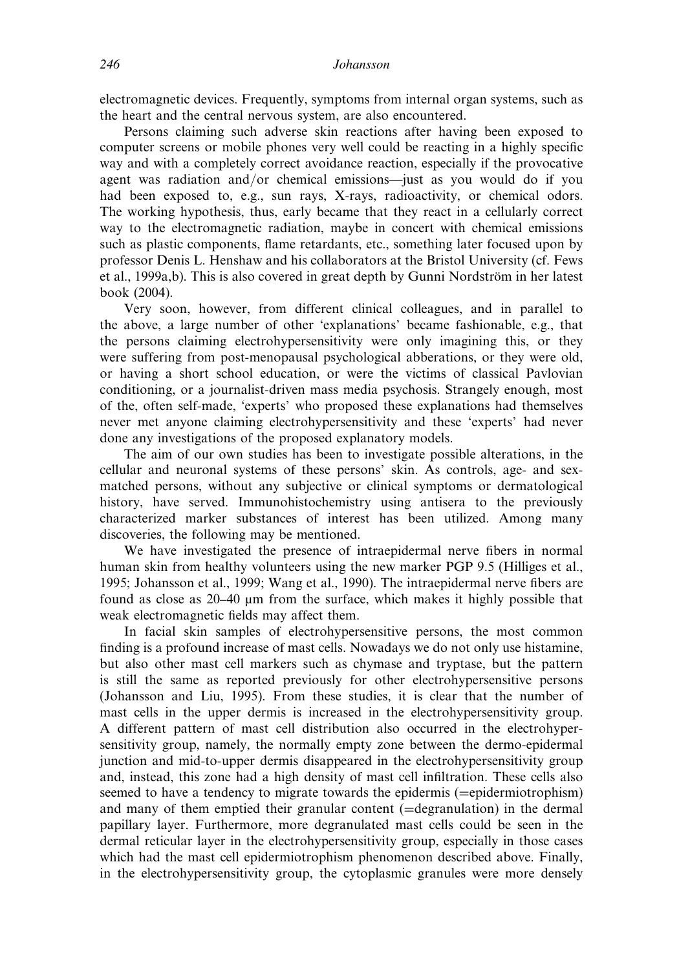electromagnetic devices. Frequently, symptoms from internal organ systems, such as the heart and the central nervous system, are also encountered.

Persons claiming such adverse skin reactions after having been exposed to computer screens or mobile phones very well could be reacting in a highly specific way and with a completely correct avoidance reaction, especially if the provocative agent was radiation and/or chemical emissions—just as you would do if you had been exposed to, e.g., sun rays, X-rays, radioactivity, or chemical odors. The working hypothesis, thus, early became that they react in a cellularly correct way to the electromagnetic radiation, maybe in concert with chemical emissions such as plastic components, flame retardants, etc., something later focused upon by professor Denis L. Henshaw and his collaborators at the Bristol University (cf. Fews et al., 1999a,b). This is also covered in great depth by Gunni Nordström in her latest book (2004).

Very soon, however, from different clinical colleagues, and in parallel to the above, a large number of other 'explanations' became fashionable, e.g., that the persons claiming electrohypersensitivity were only imagining this, or they were suffering from post-menopausal psychological abberations, or they were old, or having a short school education, or were the victims of classical Pavlovian conditioning, or a journalist-driven mass media psychosis. Strangely enough, most of the, often self-made, 'experts' who proposed these explanations had themselves never met anyone claiming electrohypersensitivity and these 'experts' had never done any investigations of the proposed explanatory models.

The aim of our own studies has been to investigate possible alterations, in the cellular and neuronal systems of these persons' skin. As controls, age- and sexmatched persons, without any subjective or clinical symptoms or dermatological history, have served. Immunohistochemistry using antisera to the previously characterized marker substances of interest has been utilized. Among many discoveries, the following may be mentioned.

We have investigated the presence of intraepidermal nerve fibers in normal human skin from healthy volunteers using the new marker PGP 9.5 (Hilliges et al., 1995; Johansson et al., 1999; Wang et al., 1990). The intraepidermal nerve fibers are found as close as 20–40 µm from the surface, which makes it highly possible that weak electromagnetic fields may affect them.

In facial skin samples of electrohypersensitive persons, the most common finding is a profound increase of mast cells. Nowadays we do not only use histamine, but also other mast cell markers such as chymase and tryptase, but the pattern is still the same as reported previously for other electrohypersensitive persons (Johansson and Liu, 1995). From these studies, it is clear that the number of mast cells in the upper dermis is increased in the electrohypersensitivity group. A different pattern of mast cell distribution also occurred in the electrohypersensitivity group, namely, the normally empty zone between the dermo-epidermal junction and mid-to-upper dermis disappeared in the electrohypersensitivity group and, instead, this zone had a high density of mast cell infiltration. These cells also seemed to have a tendency to migrate towards the epidermis (=epidermiotrophism) and many of them emptied their granular content (=degranulation) in the dermal papillary layer. Furthermore, more degranulated mast cells could be seen in the dermal reticular layer in the electrohypersensitivity group, especially in those cases which had the mast cell epidermiotrophism phenomenon described above. Finally, in the electrohypersensitivity group, the cytoplasmic granules were more densely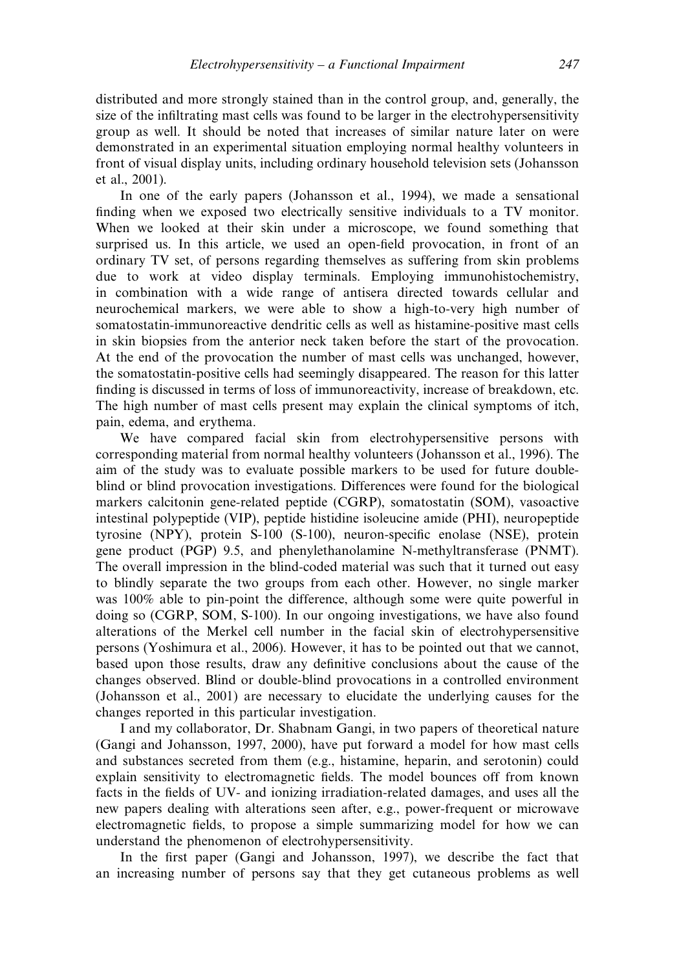distributed and more strongly stained than in the control group, and, generally, the size of the infiltrating mast cells was found to be larger in the electrohypersensitivity group as well. It should be noted that increases of similar nature later on were demonstrated in an experimental situation employing normal healthy volunteers in front of visual display units, including ordinary household television sets (Johansson et al., 2001).

In one of the early papers (Johansson et al., 1994), we made a sensational finding when we exposed two electrically sensitive individuals to a TV monitor. When we looked at their skin under a microscope, we found something that surprised us. In this article, we used an open-field provocation, in front of an ordinary TV set, of persons regarding themselves as suffering from skin problems due to work at video display terminals. Employing immunohistochemistry, in combination with a wide range of antisera directed towards cellular and neurochemical markers, we were able to show a high-to-very high number of somatostatin-immunoreactive dendritic cells as well as histamine-positive mast cells in skin biopsies from the anterior neck taken before the start of the provocation. At the end of the provocation the number of mast cells was unchanged, however, the somatostatin-positive cells had seemingly disappeared. The reason for this latter finding is discussed in terms of loss of immunoreactivity, increase of breakdown, etc. The high number of mast cells present may explain the clinical symptoms of itch, pain, edema, and erythema.

We have compared facial skin from electrohypersensitive persons with corresponding material from normal healthy volunteers (Johansson et al., 1996). The aim of the study was to evaluate possible markers to be used for future doubleblind or blind provocation investigations. Differences were found for the biological markers calcitonin gene-related peptide (CGRP), somatostatin (SOM), vasoactive intestinal polypeptide (VIP), peptide histidine isoleucine amide (PHI), neuropeptide tyrosine (NPY), protein S-100 (S-100), neuron-specific enolase (NSE), protein gene product (PGP) 9.5, and phenylethanolamine N-methyltransferase (PNMT). The overall impression in the blind-coded material was such that it turned out easy to blindly separate the two groups from each other. However, no single marker was 100% able to pin-point the difference, although some were quite powerful in doing so (CGRP, SOM, S-100). In our ongoing investigations, we have also found alterations of the Merkel cell number in the facial skin of electrohypersensitive persons (Yoshimura et al., 2006). However, it has to be pointed out that we cannot, based upon those results, draw any definitive conclusions about the cause of the changes observed. Blind or double-blind provocations in a controlled environment (Johansson et al., 2001) are necessary to elucidate the underlying causes for the changes reported in this particular investigation.

I and my collaborator, Dr. Shabnam Gangi, in two papers of theoretical nature (Gangi and Johansson, 1997, 2000), have put forward a model for how mast cells and substances secreted from them (e.g., histamine, heparin, and serotonin) could explain sensitivity to electromagnetic fields. The model bounces off from known facts in the fields of UV- and ionizing irradiation-related damages, and uses all the new papers dealing with alterations seen after, e.g., power-frequent or microwave electromagnetic fields, to propose a simple summarizing model for how we can understand the phenomenon of electrohypersensitivity.

In the first paper (Gangi and Johansson, 1997), we describe the fact that an increasing number of persons say that they get cutaneous problems as well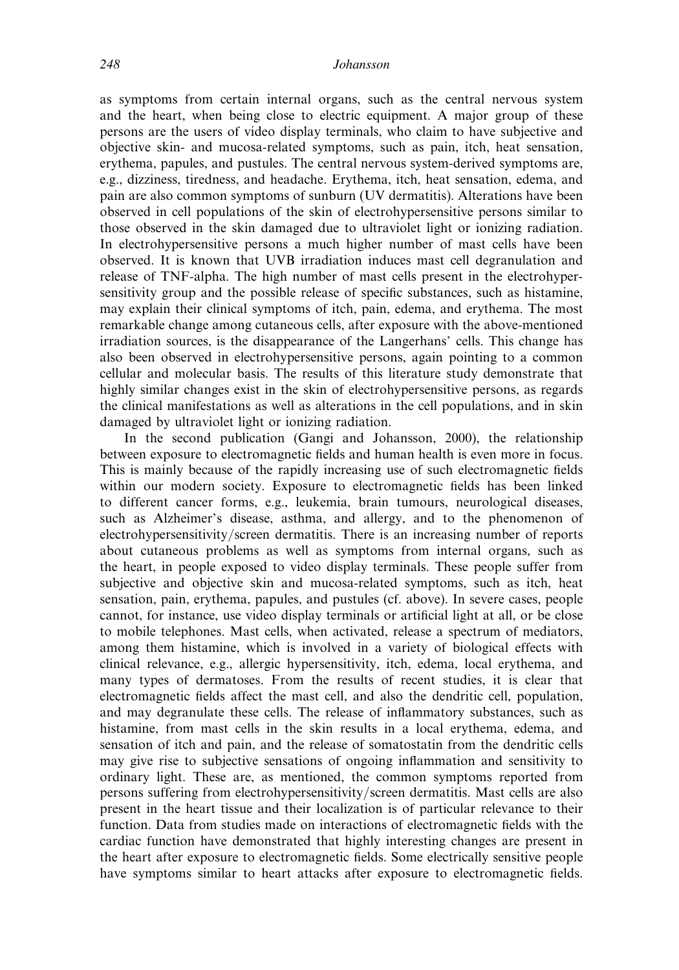as symptoms from certain internal organs, such as the central nervous system and the heart, when being close to electric equipment. A major group of these persons are the users of video display terminals, who claim to have subjective and objective skin- and mucosa-related symptoms, such as pain, itch, heat sensation, erythema, papules, and pustules. The central nervous system-derived symptoms are, e.g., dizziness, tiredness, and headache. Erythema, itch, heat sensation, edema, and pain are also common symptoms of sunburn (UV dermatitis). Alterations have been observed in cell populations of the skin of electrohypersensitive persons similar to those observed in the skin damaged due to ultraviolet light or ionizing radiation. In electrohypersensitive persons a much higher number of mast cells have been observed. It is known that UVB irradiation induces mast cell degranulation and release of TNF-alpha. The high number of mast cells present in the electrohypersensitivity group and the possible release of specific substances, such as histamine, may explain their clinical symptoms of itch, pain, edema, and erythema. The most remarkable change among cutaneous cells, after exposure with the above-mentioned irradiation sources, is the disappearance of the Langerhans' cells. This change has also been observed in electrohypersensitive persons, again pointing to a common cellular and molecular basis. The results of this literature study demonstrate that highly similar changes exist in the skin of electrohypersensitive persons, as regards the clinical manifestations as well as alterations in the cell populations, and in skin damaged by ultraviolet light or ionizing radiation.

In the second publication (Gangi and Johansson, 2000), the relationship between exposure to electromagnetic fields and human health is even more in focus. This is mainly because of the rapidly increasing use of such electromagnetic fields within our modern society. Exposure to electromagnetic fields has been linked to different cancer forms, e.g., leukemia, brain tumours, neurological diseases, such as Alzheimer's disease, asthma, and allergy, and to the phenomenon of electrohypersensitivity/screen dermatitis. There is an increasing number of reports about cutaneous problems as well as symptoms from internal organs, such as the heart, in people exposed to video display terminals. These people suffer from subjective and objective skin and mucosa-related symptoms, such as itch, heat sensation, pain, erythema, papules, and pustules (cf. above). In severe cases, people cannot, for instance, use video display terminals or artificial light at all, or be close to mobile telephones. Mast cells, when activated, release a spectrum of mediators, among them histamine, which is involved in a variety of biological effects with clinical relevance, e.g., allergic hypersensitivity, itch, edema, local erythema, and many types of dermatoses. From the results of recent studies, it is clear that electromagnetic fields affect the mast cell, and also the dendritic cell, population, and may degranulate these cells. The release of inflammatory substances, such as histamine, from mast cells in the skin results in a local erythema, edema, and sensation of itch and pain, and the release of somatostatin from the dendritic cells may give rise to subjective sensations of ongoing inflammation and sensitivity to ordinary light. These are, as mentioned, the common symptoms reported from persons suffering from electrohypersensitivity/screen dermatitis. Mast cells are also present in the heart tissue and their localization is of particular relevance to their function. Data from studies made on interactions of electromagnetic fields with the cardiac function have demonstrated that highly interesting changes are present in the heart after exposure to electromagnetic fields. Some electrically sensitive people have symptoms similar to heart attacks after exposure to electromagnetic fields.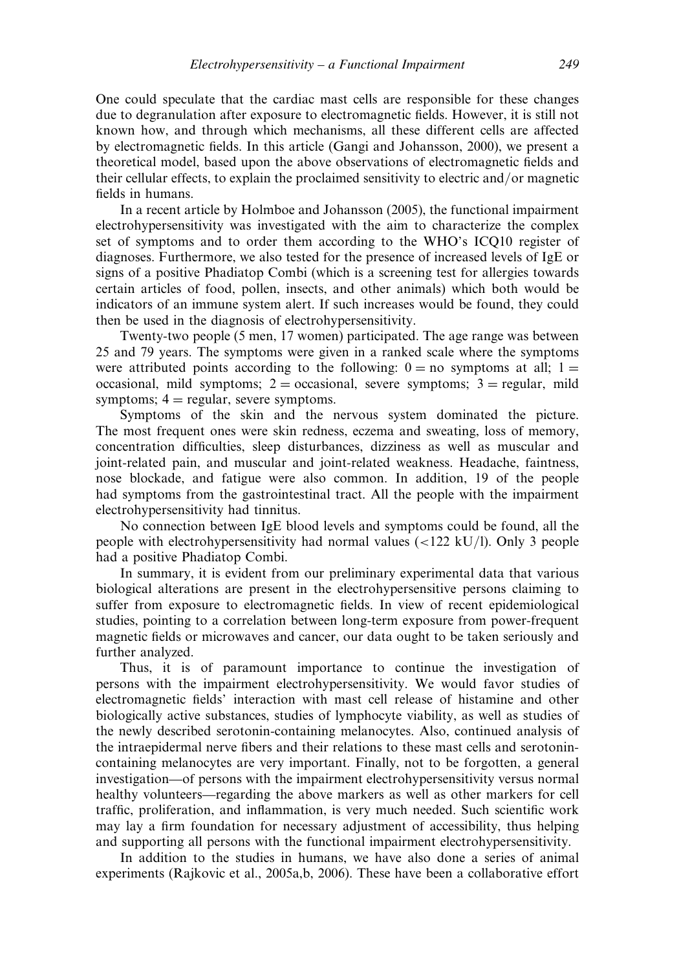One could speculate that the cardiac mast cells are responsible for these changes due to degranulation after exposure to electromagnetic fields. However, it is still not known how, and through which mechanisms, all these different cells are affected by electromagnetic fields. In this article (Gangi and Johansson, 2000), we present a theoretical model, based upon the above observations of electromagnetic fields and their cellular effects, to explain the proclaimed sensitivity to electric and/or magnetic fields in humans.

In a recent article by Holmboe and Johansson (2005), the functional impairment electrohypersensitivity was investigated with the aim to characterize the complex set of symptoms and to order them according to the WHO's ICQ10 register of diagnoses. Furthermore, we also tested for the presence of increased levels of IgE or signs of a positive Phadiatop Combi (which is a screening test for allergies towards certain articles of food, pollen, insects, and other animals) which both would be indicators of an immune system alert. If such increases would be found, they could then be used in the diagnosis of electrohypersensitivity.

Twenty-two people (5 men, 17 women) participated. The age range was between 25 and 79 years. The symptoms were given in a ranked scale where the symptoms were attributed points according to the following:  $0 =$  no symptoms at all;  $1 =$ occasional, mild symptoms;  $2 = \text{occasional}$ , severe symptoms;  $3 = \text{regular}$ , mild symptoms;  $4 =$  regular, severe symptoms.

Symptoms of the skin and the nervous system dominated the picture. The most frequent ones were skin redness, eczema and sweating, loss of memory, concentration difficulties, sleep disturbances, dizziness as well as muscular and joint-related pain, and muscular and joint-related weakness. Headache, faintness, nose blockade, and fatigue were also common. In addition, 19 of the people had symptoms from the gastrointestinal tract. All the people with the impairment electrohypersensitivity had tinnitus.

No connection between IgE blood levels and symptoms could be found, all the people with electrohypersensitivity had normal values (<122 kU/l). Only 3 people had a positive Phadiatop Combi.

In summary, it is evident from our preliminary experimental data that various biological alterations are present in the electrohypersensitive persons claiming to suffer from exposure to electromagnetic fields. In view of recent epidemiological studies, pointing to a correlation between long-term exposure from power-frequent magnetic fields or microwaves and cancer, our data ought to be taken seriously and further analyzed.

Thus, it is of paramount importance to continue the investigation of persons with the impairment electrohypersensitivity. We would favor studies of electromagnetic fields' interaction with mast cell release of histamine and other biologically active substances, studies of lymphocyte viability, as well as studies of the newly described serotonin-containing melanocytes. Also, continued analysis of the intraepidermal nerve fibers and their relations to these mast cells and serotonincontaining melanocytes are very important. Finally, not to be forgotten, a general investigation—of persons with the impairment electrohypersensitivity versus normal healthy volunteers—regarding the above markers as well as other markers for cell traffic, proliferation, and inflammation, is very much needed. Such scientific work may lay a firm foundation for necessary adjustment of accessibility, thus helping and supporting all persons with the functional impairment electrohypersensitivity.

In addition to the studies in humans, we have also done a series of animal experiments (Rajkovic et al., 2005a,b, 2006). These have been a collaborative effort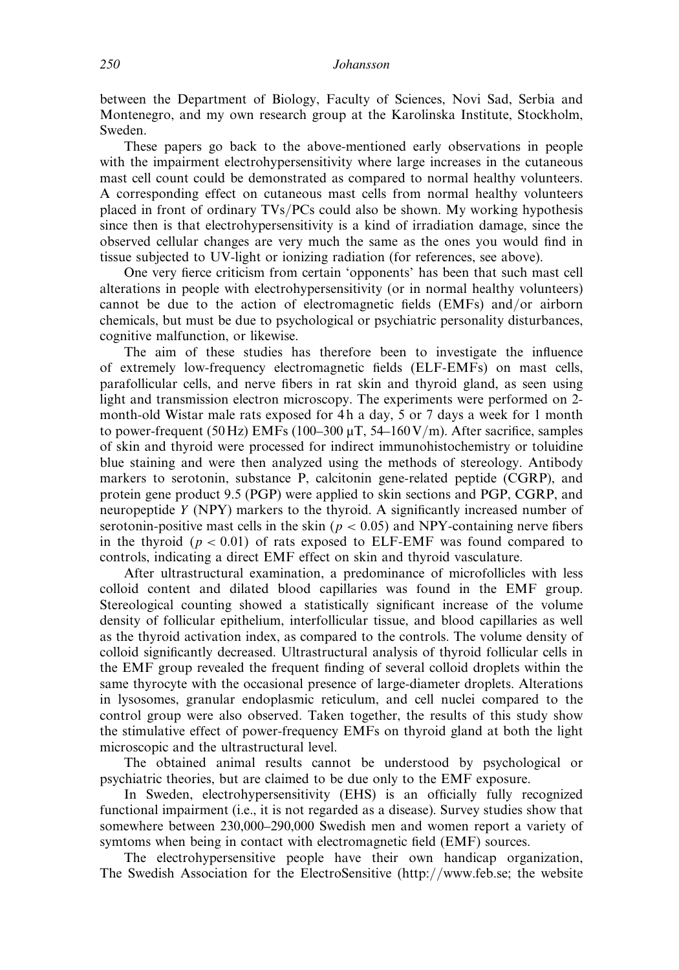between the Department of Biology, Faculty of Sciences, Novi Sad, Serbia and Montenegro, and my own research group at the Karolinska Institute, Stockholm, Sweden.

These papers go back to the above-mentioned early observations in people with the impairment electrohypersensitivity where large increases in the cutaneous mast cell count could be demonstrated as compared to normal healthy volunteers. A corresponding effect on cutaneous mast cells from normal healthy volunteers placed in front of ordinary TVs/PCs could also be shown. My working hypothesis since then is that electrohypersensitivity is a kind of irradiation damage, since the observed cellular changes are very much the same as the ones you would find in tissue subjected to UV-light or ionizing radiation (for references, see above).

One very fierce criticism from certain 'opponents' has been that such mast cell alterations in people with electrohypersensitivity (or in normal healthy volunteers) cannot be due to the action of electromagnetic fields (EMFs) and/or airborn chemicals, but must be due to psychological or psychiatric personality disturbances, cognitive malfunction, or likewise.

The aim of these studies has therefore been to investigate the influence of extremely low-frequency electromagnetic fields (ELF-EMFs) on mast cells, parafollicular cells, and nerve fibers in rat skin and thyroid gland, as seen using light and transmission electron microscopy. The experiments were performed on 2 month-old Wistar male rats exposed for 4h a day, 5 or 7 days a week for 1 month to power-frequent (50 Hz) EMFs (100–300  $\mu$ T, 54–160 V/m). After sacrifice, samples of skin and thyroid were processed for indirect immunohistochemistry or toluidine blue staining and were then analyzed using the methods of stereology. Antibody markers to serotonin, substance P, calcitonin gene-related peptide (CGRP), and protein gene product 9.5 (PGP) were applied to skin sections and PGP, CGRP, and neuropeptide  $Y$  (NPY) markers to the thyroid. A significantly increased number of serotonin-positive mast cells in the skin ( $p < 0.05$ ) and NPY-containing nerve fibers in the thyroid  $(p < 0.01)$  of rats exposed to ELF-EMF was found compared to controls, indicating a direct EMF effect on skin and thyroid vasculature.

After ultrastructural examination, a predominance of microfollicles with less colloid content and dilated blood capillaries was found in the EMF group. Stereological counting showed a statistically significant increase of the volume density of follicular epithelium, interfollicular tissue, and blood capillaries as well as the thyroid activation index, as compared to the controls. The volume density of colloid significantly decreased. Ultrastructural analysis of thyroid follicular cells in the EMF group revealed the frequent finding of several colloid droplets within the same thyrocyte with the occasional presence of large-diameter droplets. Alterations in lysosomes, granular endoplasmic reticulum, and cell nuclei compared to the control group were also observed. Taken together, the results of this study show the stimulative effect of power-frequency EMFs on thyroid gland at both the light microscopic and the ultrastructural level.

The obtained animal results cannot be understood by psychological or psychiatric theories, but are claimed to be due only to the EMF exposure.

In Sweden, electrohypersensitivity (EHS) is an officially fully recognized functional impairment (i.e., it is not regarded as a disease). Survey studies show that somewhere between 230,000–290,000 Swedish men and women report a variety of symtoms when being in contact with electromagnetic field (EMF) sources.

The electrohypersensitive people have their own handicap organization, The Swedish Association for the ElectroSensitive (http://www.feb.se; the website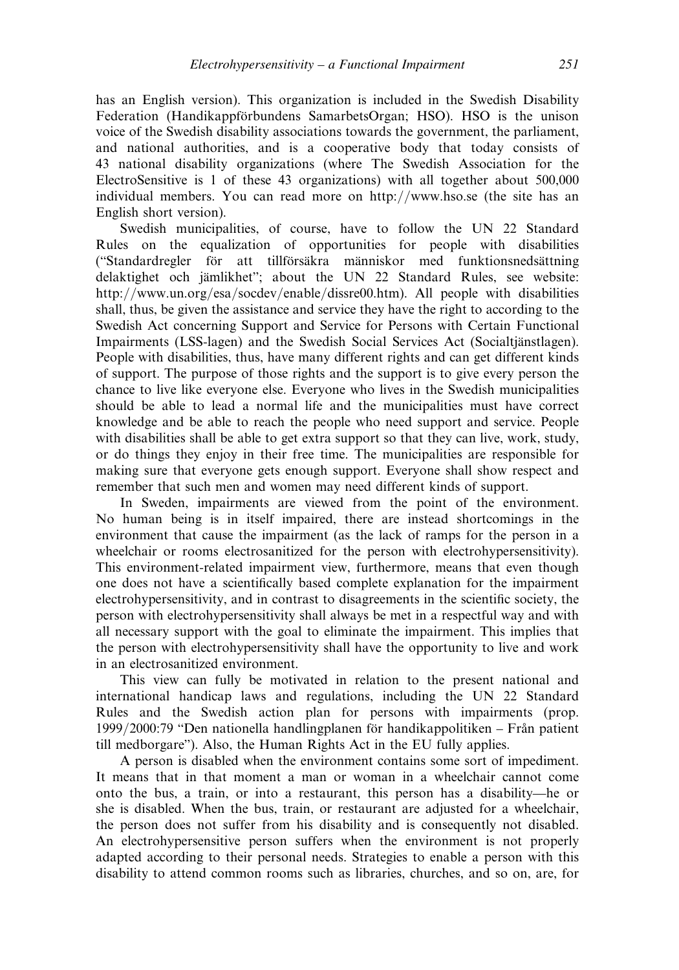has an English version). This organization is included in the Swedish Disability Federation (Handikappförbundens SamarbetsOrgan; HSO). HSO is the unison voice of the Swedish disability associations towards the government, the parliament, and national authorities, and is a cooperative body that today consists of 43 national disability organizations (where The Swedish Association for the ElectroSensitive is 1 of these 43 organizations) with all together about 500,000 individual members. You can read more on http://www.hso.se (the site has an English short version).

Swedish municipalities, of course, have to follow the UN 22 Standard Rules on the equalization of opportunities for people with disabilities ("Standardregler för att tillförsäkra människor med funktionsnedsättning delaktighet och jämlikhet"; about the UN 22 Standard Rules, see website: http://www.un.org/esa/socdev/enable/dissre00.htm). All people with disabilities shall, thus, be given the assistance and service they have the right to according to the Swedish Act concerning Support and Service for Persons with Certain Functional Impairments (LSS-lagen) and the Swedish Social Services Act (Socialtjänstlagen). People with disabilities, thus, have many different rights and can get different kinds of support. The purpose of those rights and the support is to give every person the chance to live like everyone else. Everyone who lives in the Swedish municipalities should be able to lead a normal life and the municipalities must have correct knowledge and be able to reach the people who need support and service. People with disabilities shall be able to get extra support so that they can live, work, study, or do things they enjoy in their free time. The municipalities are responsible for making sure that everyone gets enough support. Everyone shall show respect and remember that such men and women may need different kinds of support.

In Sweden, impairments are viewed from the point of the environment. No human being is in itself impaired, there are instead shortcomings in the environment that cause the impairment (as the lack of ramps for the person in a wheelchair or rooms electrosanitized for the person with electrohypersensitivity). This environment-related impairment view, furthermore, means that even though one does not have a scientifically based complete explanation for the impairment electrohypersensitivity, and in contrast to disagreements in the scientific society, the person with electrohypersensitivity shall always be met in a respectful way and with all necessary support with the goal to eliminate the impairment. This implies that the person with electrohypersensitivity shall have the opportunity to live and work in an electrosanitized environment.

This view can fully be motivated in relation to the present national and international handicap laws and regulations, including the UN 22 Standard Rules and the Swedish action plan for persons with impairments (prop. 1999/2000:79 "Den nationella handlingplanen för handikappolitiken – Från patient till medborgare"). Also, the Human Rights Act in the EU fully applies.

A person is disabled when the environment contains some sort of impediment. It means that in that moment a man or woman in a wheelchair cannot come onto the bus, a train, or into a restaurant, this person has a disability—he or she is disabled. When the bus, train, or restaurant are adjusted for a wheelchair, the person does not suffer from his disability and is consequently not disabled. An electrohypersensitive person suffers when the environment is not properly adapted according to their personal needs. Strategies to enable a person with this disability to attend common rooms such as libraries, churches, and so on, are, for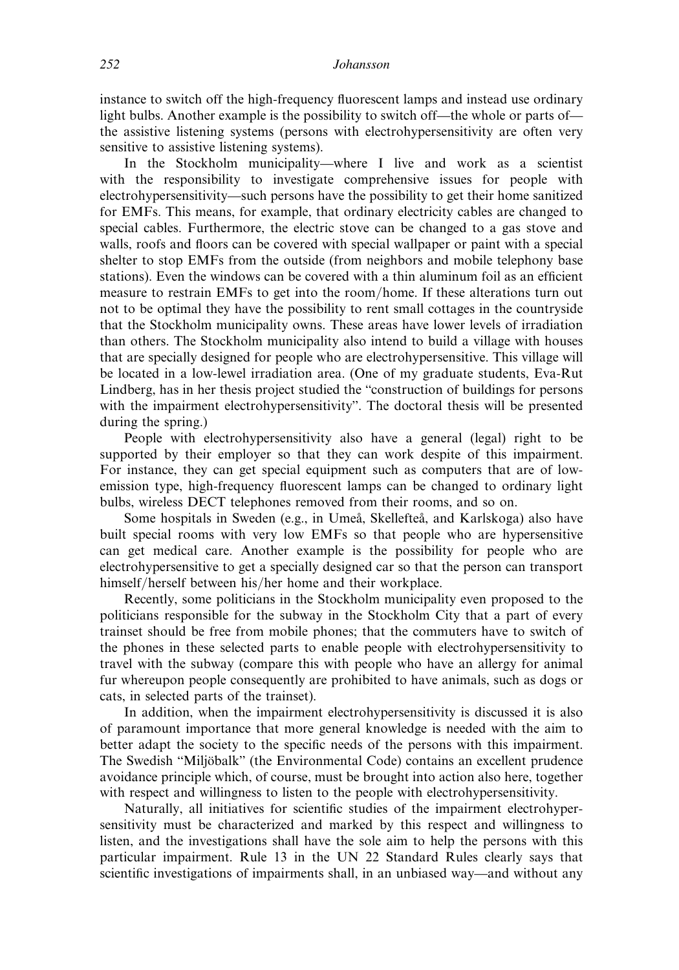instance to switch off the high-frequency fluorescent lamps and instead use ordinary light bulbs. Another example is the possibility to switch off—the whole or parts of the assistive listening systems (persons with electrohypersensitivity are often very sensitive to assistive listening systems).

In the Stockholm municipality—where I live and work as a scientist with the responsibility to investigate comprehensive issues for people with electrohypersensitivity—such persons have the possibility to get their home sanitized for EMFs. This means, for example, that ordinary electricity cables are changed to special cables. Furthermore, the electric stove can be changed to a gas stove and walls, roofs and floors can be covered with special wallpaper or paint with a special shelter to stop EMFs from the outside (from neighbors and mobile telephony base stations). Even the windows can be covered with a thin aluminum foil as an efficient measure to restrain EMFs to get into the room/home. If these alterations turn out not to be optimal they have the possibility to rent small cottages in the countryside that the Stockholm municipality owns. These areas have lower levels of irradiation than others. The Stockholm municipality also intend to build a village with houses that are specially designed for people who are electrohypersensitive. This village will be located in a low-lewel irradiation area. (One of my graduate students, Eva-Rut Lindberg, has in her thesis project studied the "construction of buildings for persons with the impairment electrohypersensitivity". The doctoral thesis will be presented during the spring.)

People with electrohypersensitivity also have a general (legal) right to be supported by their employer so that they can work despite of this impairment. For instance, they can get special equipment such as computers that are of lowemission type, high-frequency fluorescent lamps can be changed to ordinary light bulbs, wireless DECT telephones removed from their rooms, and so on.

Some hospitals in Sweden (e.g., in Umeå, Skellefteå, and Karlskoga) also have built special rooms with very low EMFs so that people who are hypersensitive can get medical care. Another example is the possibility for people who are electrohypersensitive to get a specially designed car so that the person can transport himself/herself between his/her home and their workplace.

Recently, some politicians in the Stockholm municipality even proposed to the politicians responsible for the subway in the Stockholm City that a part of every trainset should be free from mobile phones; that the commuters have to switch of the phones in these selected parts to enable people with electrohypersensitivity to travel with the subway (compare this with people who have an allergy for animal fur whereupon people consequently are prohibited to have animals, such as dogs or cats, in selected parts of the trainset).

In addition, when the impairment electrohypersensitivity is discussed it is also of paramount importance that more general knowledge is needed with the aim to better adapt the society to the specific needs of the persons with this impairment. The Swedish "Miljöbalk" (the Environmental Code) contains an excellent prudence avoidance principle which, of course, must be brought into action also here, together with respect and willingness to listen to the people with electrohypersensitivity.

Naturally, all initiatives for scientific studies of the impairment electrohypersensitivity must be characterized and marked by this respect and willingness to listen, and the investigations shall have the sole aim to help the persons with this particular impairment. Rule 13 in the UN 22 Standard Rules clearly says that scientific investigations of impairments shall, in an unbiased way—and without any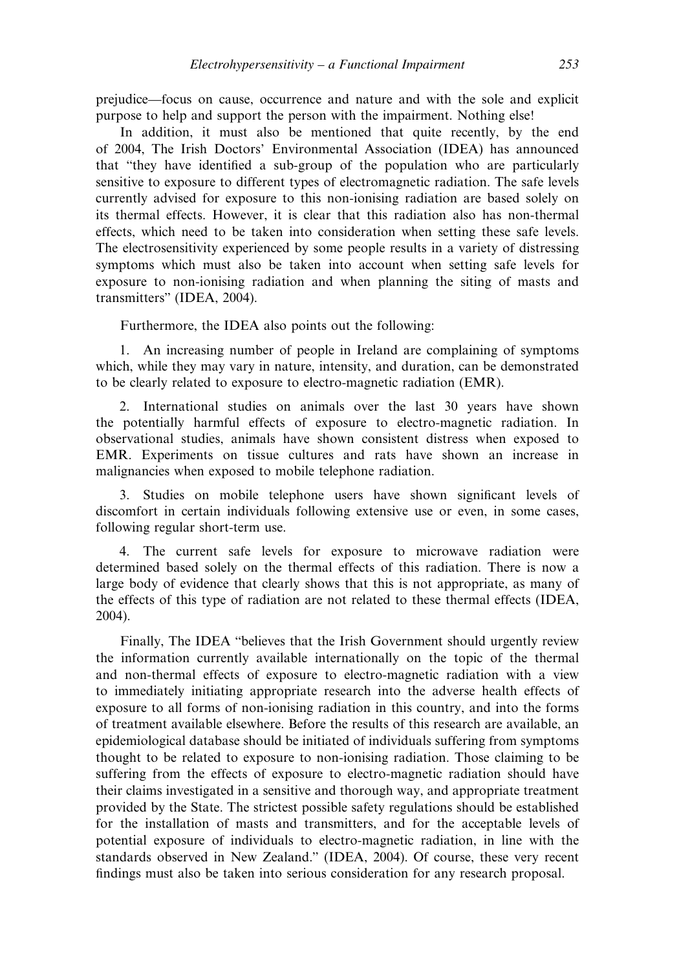prejudice—focus on cause, occurrence and nature and with the sole and explicit purpose to help and support the person with the impairment. Nothing else!

In addition, it must also be mentioned that quite recently, by the end of 2004, The Irish Doctors' Environmental Association (IDEA) has announced that "they have identified a sub-group of the population who are particularly sensitive to exposure to different types of electromagnetic radiation. The safe levels currently advised for exposure to this non-ionising radiation are based solely on its thermal effects. However, it is clear that this radiation also has non-thermal effects, which need to be taken into consideration when setting these safe levels. The electrosensitivity experienced by some people results in a variety of distressing symptoms which must also be taken into account when setting safe levels for exposure to non-ionising radiation and when planning the siting of masts and transmitters" (IDEA, 2004).

Furthermore, the IDEA also points out the following:

1. An increasing number of people in Ireland are complaining of symptoms which, while they may vary in nature, intensity, and duration, can be demonstrated to be clearly related to exposure to electro-magnetic radiation (EMR).

2. International studies on animals over the last 30 years have shown the potentially harmful effects of exposure to electro-magnetic radiation. In observational studies, animals have shown consistent distress when exposed to EMR. Experiments on tissue cultures and rats have shown an increase in malignancies when exposed to mobile telephone radiation.

3. Studies on mobile telephone users have shown significant levels of discomfort in certain individuals following extensive use or even, in some cases, following regular short-term use.

4. The current safe levels for exposure to microwave radiation were determined based solely on the thermal effects of this radiation. There is now a large body of evidence that clearly shows that this is not appropriate, as many of the effects of this type of radiation are not related to these thermal effects (IDEA, 2004).

Finally, The IDEA "believes that the Irish Government should urgently review the information currently available internationally on the topic of the thermal and non-thermal effects of exposure to electro-magnetic radiation with a view to immediately initiating appropriate research into the adverse health effects of exposure to all forms of non-ionising radiation in this country, and into the forms of treatment available elsewhere. Before the results of this research are available, an epidemiological database should be initiated of individuals suffering from symptoms thought to be related to exposure to non-ionising radiation. Those claiming to be suffering from the effects of exposure to electro-magnetic radiation should have their claims investigated in a sensitive and thorough way, and appropriate treatment provided by the State. The strictest possible safety regulations should be established for the installation of masts and transmitters, and for the acceptable levels of potential exposure of individuals to electro-magnetic radiation, in line with the standards observed in New Zealand." (IDEA, 2004). Of course, these very recent findings must also be taken into serious consideration for any research proposal.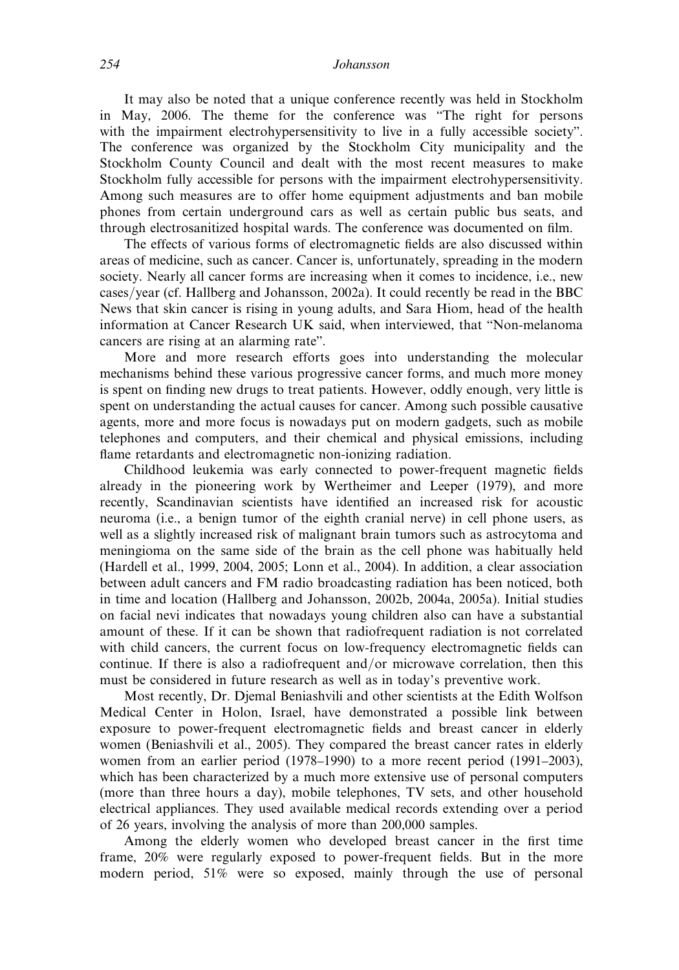It may also be noted that a unique conference recently was held in Stockholm in May, 2006. The theme for the conference was "The right for persons with the impairment electrohypersensitivity to live in a fully accessible society". The conference was organized by the Stockholm City municipality and the Stockholm County Council and dealt with the most recent measures to make Stockholm fully accessible for persons with the impairment electrohypersensitivity. Among such measures are to offer home equipment adjustments and ban mobile phones from certain underground cars as well as certain public bus seats, and through electrosanitized hospital wards. The conference was documented on film.

The effects of various forms of electromagnetic fields are also discussed within areas of medicine, such as cancer. Cancer is, unfortunately, spreading in the modern society. Nearly all cancer forms are increasing when it comes to incidence, i.e., new cases/year (cf. Hallberg and Johansson, 2002a). It could recently be read in the BBC News that skin cancer is rising in young adults, and Sara Hiom, head of the health information at Cancer Research UK said, when interviewed, that "Non-melanoma cancers are rising at an alarming rate".

More and more research efforts goes into understanding the molecular mechanisms behind these various progressive cancer forms, and much more money is spent on finding new drugs to treat patients. However, oddly enough, very little is spent on understanding the actual causes for cancer. Among such possible causative agents, more and more focus is nowadays put on modern gadgets, such as mobile telephones and computers, and their chemical and physical emissions, including flame retardants and electromagnetic non-ionizing radiation.

Childhood leukemia was early connected to power-frequent magnetic fields already in the pioneering work by Wertheimer and Leeper (1979), and more recently, Scandinavian scientists have identified an increased risk for acoustic neuroma (i.e., a benign tumor of the eighth cranial nerve) in cell phone users, as well as a slightly increased risk of malignant brain tumors such as astrocytoma and meningioma on the same side of the brain as the cell phone was habitually held (Hardell et al., 1999, 2004, 2005; Lonn et al., 2004). In addition, a clear association between adult cancers and FM radio broadcasting radiation has been noticed, both in time and location (Hallberg and Johansson, 2002b, 2004a, 2005a). Initial studies on facial nevi indicates that nowadays young children also can have a substantial amount of these. If it can be shown that radiofrequent radiation is not correlated with child cancers, the current focus on low-frequency electromagnetic fields can continue. If there is also a radiofrequent and/or microwave correlation, then this must be considered in future research as well as in today's preventive work.

Most recently, Dr. Djemal Beniashvili and other scientists at the Edith Wolfson Medical Center in Holon, Israel, have demonstrated a possible link between exposure to power-frequent electromagnetic fields and breast cancer in elderly women (Beniashvili et al., 2005). They compared the breast cancer rates in elderly women from an earlier period (1978–1990) to a more recent period (1991–2003), which has been characterized by a much more extensive use of personal computers (more than three hours a day), mobile telephones, TV sets, and other household electrical appliances. They used available medical records extending over a period of 26 years, involving the analysis of more than 200,000 samples.

Among the elderly women who developed breast cancer in the first time frame, 20% were regularly exposed to power-frequent fields. But in the more modern period, 51% were so exposed, mainly through the use of personal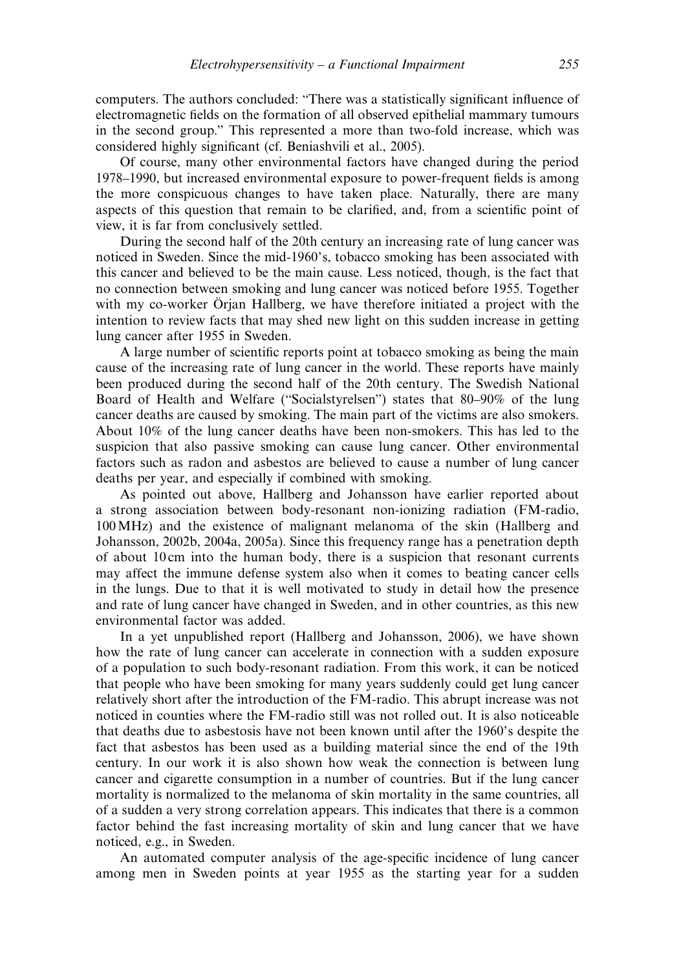computers. The authors concluded: "There was a statistically significant influence of electromagnetic fields on the formation of all observed epithelial mammary tumours in the second group." This represented a more than two-fold increase, which was considered highly significant (cf. Beniashvili et al., 2005).

Of course, many other environmental factors have changed during the period 1978–1990, but increased environmental exposure to power-frequent fields is among the more conspicuous changes to have taken place. Naturally, there are many aspects of this question that remain to be clarified, and, from a scientific point of view, it is far from conclusively settled.

During the second half of the 20th century an increasing rate of lung cancer was noticed in Sweden. Since the mid-1960's, tobacco smoking has been associated with this cancer and believed to be the main cause. Less noticed, though, is the fact that no connection between smoking and lung cancer was noticed before 1955. Together with my co-worker Örjan Hallberg, we have therefore initiated a project with the intention to review facts that may shed new light on this sudden increase in getting lung cancer after 1955 in Sweden.

A large number of scientific reports point at tobacco smoking as being the main cause of the increasing rate of lung cancer in the world. These reports have mainly been produced during the second half of the 20th century. The Swedish National Board of Health and Welfare ("Socialstyrelsen") states that 80–90% of the lung cancer deaths are caused by smoking. The main part of the victims are also smokers. About 10% of the lung cancer deaths have been non-smokers. This has led to the suspicion that also passive smoking can cause lung cancer. Other environmental factors such as radon and asbestos are believed to cause a number of lung cancer deaths per year, and especially if combined with smoking.

As pointed out above, Hallberg and Johansson have earlier reported about a strong association between body-resonant non-ionizing radiation (FM-radio, 100MHz) and the existence of malignant melanoma of the skin (Hallberg and Johansson, 2002b, 2004a, 2005a). Since this frequency range has a penetration depth of about 10 cm into the human body, there is a suspicion that resonant currents may affect the immune defense system also when it comes to beating cancer cells in the lungs. Due to that it is well motivated to study in detail how the presence and rate of lung cancer have changed in Sweden, and in other countries, as this new environmental factor was added.

In a yet unpublished report (Hallberg and Johansson, 2006), we have shown how the rate of lung cancer can accelerate in connection with a sudden exposure of a population to such body-resonant radiation. From this work, it can be noticed that people who have been smoking for many years suddenly could get lung cancer relatively short after the introduction of the FM-radio. This abrupt increase was not noticed in counties where the FM-radio still was not rolled out. It is also noticeable that deaths due to asbestosis have not been known until after the 1960's despite the fact that asbestos has been used as a building material since the end of the 19th century. In our work it is also shown how weak the connection is between lung cancer and cigarette consumption in a number of countries. But if the lung cancer mortality is normalized to the melanoma of skin mortality in the same countries, all of a sudden a very strong correlation appears. This indicates that there is a common factor behind the fast increasing mortality of skin and lung cancer that we have noticed, e.g., in Sweden.

An automated computer analysis of the age-specific incidence of lung cancer among men in Sweden points at year 1955 as the starting year for a sudden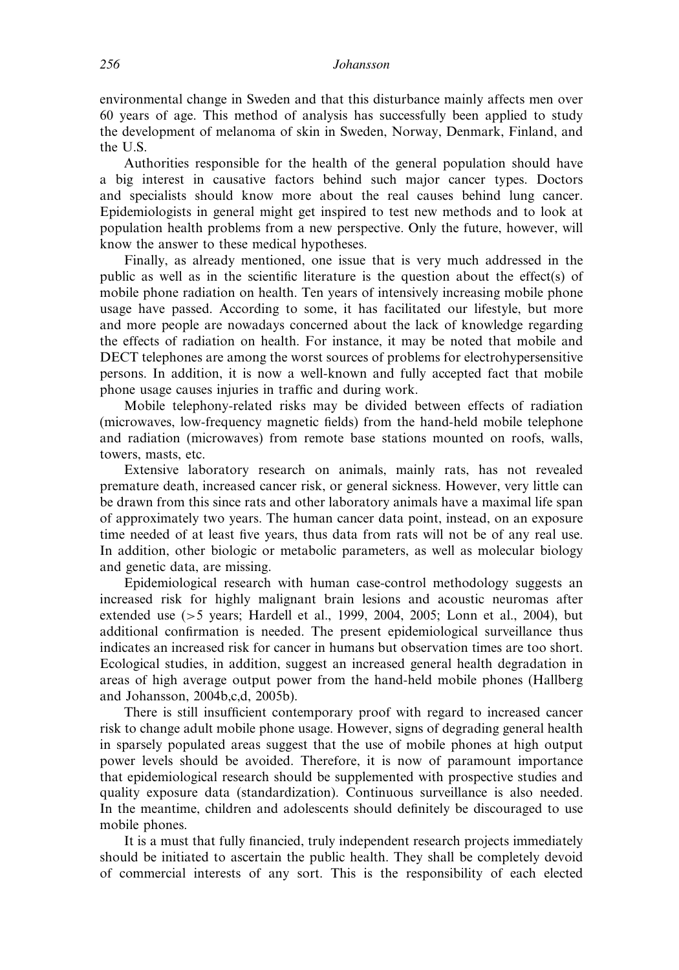environmental change in Sweden and that this disturbance mainly affects men over 60 years of age. This method of analysis has successfully been applied to study the development of melanoma of skin in Sweden, Norway, Denmark, Finland, and the U.S.

Authorities responsible for the health of the general population should have a big interest in causative factors behind such major cancer types. Doctors and specialists should know more about the real causes behind lung cancer. Epidemiologists in general might get inspired to test new methods and to look at population health problems from a new perspective. Only the future, however, will know the answer to these medical hypotheses.

Finally, as already mentioned, one issue that is very much addressed in the public as well as in the scientific literature is the question about the effect(s) of mobile phone radiation on health. Ten years of intensively increasing mobile phone usage have passed. According to some, it has facilitated our lifestyle, but more and more people are nowadays concerned about the lack of knowledge regarding the effects of radiation on health. For instance, it may be noted that mobile and DECT telephones are among the worst sources of problems for electrohypersensitive persons. In addition, it is now a well-known and fully accepted fact that mobile phone usage causes injuries in traffic and during work.

Mobile telephony-related risks may be divided between effects of radiation (microwaves, low-frequency magnetic fields) from the hand-held mobile telephone and radiation (microwaves) from remote base stations mounted on roofs, walls, towers, masts, etc.

Extensive laboratory research on animals, mainly rats, has not revealed premature death, increased cancer risk, or general sickness. However, very little can be drawn from this since rats and other laboratory animals have a maximal life span of approximately two years. The human cancer data point, instead, on an exposure time needed of at least five years, thus data from rats will not be of any real use. In addition, other biologic or metabolic parameters, as well as molecular biology and genetic data, are missing.

Epidemiological research with human case-control methodology suggests an increased risk for highly malignant brain lesions and acoustic neuromas after extended use (>5 years; Hardell et al., 1999, 2004, 2005; Lonn et al., 2004), but additional confirmation is needed. The present epidemiological surveillance thus indicates an increased risk for cancer in humans but observation times are too short. Ecological studies, in addition, suggest an increased general health degradation in areas of high average output power from the hand-held mobile phones (Hallberg and Johansson, 2004b,c,d, 2005b).

There is still insufficient contemporary proof with regard to increased cancer risk to change adult mobile phone usage. However, signs of degrading general health in sparsely populated areas suggest that the use of mobile phones at high output power levels should be avoided. Therefore, it is now of paramount importance that epidemiological research should be supplemented with prospective studies and quality exposure data (standardization). Continuous surveillance is also needed. In the meantime, children and adolescents should definitely be discouraged to use mobile phones.

It is a must that fully financied, truly independent research projects immediately should be initiated to ascertain the public health. They shall be completely devoid of commercial interests of any sort. This is the responsibility of each elected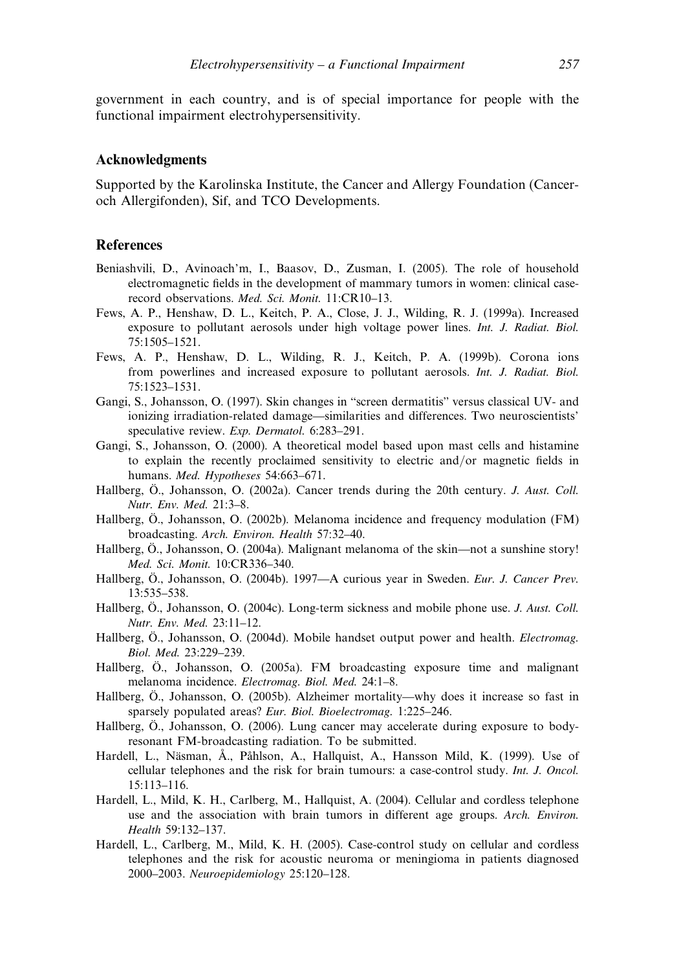government in each country, and is of special importance for people with the functional impairment electrohypersensitivity.

## Acknowledgments

Supported by the Karolinska Institute, the Cancer and Allergy Foundation (Canceroch Allergifonden), Sif, and TCO Developments.

## **References**

- Beniashvili, D., Avinoach'm, I., Baasov, D., Zusman, I. (2005). The role of household electromagnetic fields in the development of mammary tumors in women: clinical caserecord observations. Med. Sci. Monit. 11:CR10–13.
- Fews, A. P., Henshaw, D. L., Keitch, P. A., Close, J. J., Wilding, R. J. (1999a). Increased exposure to pollutant aerosols under high voltage power lines. Int. J. Radiat. Biol. 75:1505–1521.
- Fews, A. P., Henshaw, D. L., Wilding, R. J., Keitch, P. A. (1999b). Corona ions from powerlines and increased exposure to pollutant aerosols. Int. J. Radiat. Biol. 75:1523–1531.
- Gangi, S., Johansson, O. (1997). Skin changes in "screen dermatitis" versus classical UV- and ionizing irradiation-related damage—similarities and differences. Two neuroscientists' speculative review. Exp. Dermatol. 6:283–291.
- Gangi, S., Johansson, O. (2000). A theoretical model based upon mast cells and histamine to explain the recently proclaimed sensitivity to electric and/or magnetic fields in humans. Med. Hypotheses 54:663–671.
- Hallberg, Ö., Johansson, O. (2002a). Cancer trends during the 20th century. J. Aust. Coll. Nutr. Env. Med. 21:3–8.
- Hallberg, Ö., Johansson, O. (2002b). Melanoma incidence and frequency modulation (FM) broadcasting. Arch. Environ. Health 57:32–40.
- Hallberg, Ö., Johansson, O. (2004a). Malignant melanoma of the skin—not a sunshine story! Med. Sci. Monit. 10:CR336–340.
- Hallberg, Ö., Johansson, O. (2004b). 1997—A curious year in Sweden. Eur. J. Cancer Prev. 13:535–538.
- Hallberg, Ö., Johansson, O. (2004c). Long-term sickness and mobile phone use. J. Aust. Coll. Nutr. Env. Med. 23:11–12.
- Hallberg, Ö., Johansson, O. (2004d). Mobile handset output power and health. *Electromag*. Biol. Med. 23:229–239.
- Hallberg, Ö., Johansson, O. (2005a). FM broadcasting exposure time and malignant melanoma incidence. Electromag. Biol. Med. 24:1–8.
- Hallberg, Ö., Johansson, O. (2005b). Alzheimer mortality—why does it increase so fast in sparsely populated areas? Eur. Biol. Bioelectromag. 1:225–246.
- Hallberg, Ö., Johansson, O. (2006). Lung cancer may accelerate during exposure to bodyresonant FM-broadcasting radiation. To be submitted.
- Hardell, L., Näsman, Å., Påhlson, A., Hallquist, A., Hansson Mild, K. (1999). Use of cellular telephones and the risk for brain tumours: a case-control study. Int. J. Oncol. 15:113–116.
- Hardell, L., Mild, K. H., Carlberg, M., Hallquist, A. (2004). Cellular and cordless telephone use and the association with brain tumors in different age groups. Arch. Environ. Health 59:132–137.
- Hardell, L., Carlberg, M., Mild, K. H. (2005). Case-control study on cellular and cordless telephones and the risk for acoustic neuroma or meningioma in patients diagnosed 2000–2003. Neuroepidemiology 25:120–128.